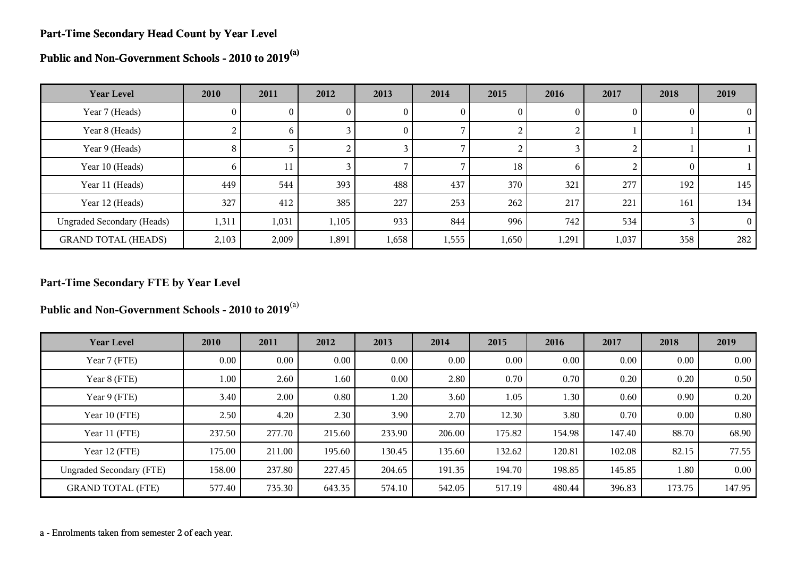#### **Part-Time Secondary Head Count by Year Level**

**Public and Non-Government Schools - 2010 to 2019(a)**

| <b>Year Level</b>                 | 2010           | 2011  | 2012  | 2013         | 2014  | 2015   | 2016     | 2017  | 2018 | 2019     |
|-----------------------------------|----------------|-------|-------|--------------|-------|--------|----------|-------|------|----------|
| Year 7 (Heads)                    | $\mathbf{0}$   | U.    | U.    | $\mathbf{0}$ | U     | 0      | $\theta$ |       |      | $\theta$ |
| Year 8 (Heads)                    | $\overline{a}$ | 6     |       | $\bf{0}$     |       | ∠      |          |       |      |          |
| Year 9 (Heads)                    | 8              |       |       |              |       | ◠<br>∠ |          |       |      |          |
| Year 10 (Heads)                   | 6              | 11    |       |              |       | 18     | 6        |       |      |          |
| Year 11 (Heads)                   | 449            | 544   | 393   | 488          | 437   | 370    | 321      | 277   | 192  | 145      |
| Year 12 (Heads)                   | 327            | 412   | 385   | 227          | 253   | 262    | 217      | 221   | 161  | 134      |
| <b>Ungraded Secondary (Heads)</b> | 1,311          | 1,031 | 1,105 | 933          | 844   | 996    | 742      | 534   |      | $\Omega$ |
| <b>GRAND TOTAL (HEADS)</b>        | 2,103          | 2,009 | 1,891 | 1,658        | 1,555 | 1,650  | 1,291    | 1,037 | 358  | 282      |

#### **Part-Time Secondary FTE by Year Level**

**Public and Non-Government Schools - 2010 to 2019**(a)

| <b>Year Level</b>               | 2010     | 2011   | 2012   | 2013     | 2014   | 2015   | 2016   | 2017   | 2018   | 2019     |
|---------------------------------|----------|--------|--------|----------|--------|--------|--------|--------|--------|----------|
| Year 7 (FTE)                    | $0.00\,$ | 0.00   | 0.00   | $0.00\,$ | 0.00   | 0.00   | 0.00   | 0.00   | 0.00   | $0.00\,$ |
| Year 8 (FTE)                    | 1.00     | 2.60   | 1.60   | $0.00\,$ | 2.80   | 0.70   | 0.70   | 0.20   | 0.20   | 0.50     |
| Year 9 (FTE)                    | 3.40     | 2.00   | 0.80   | 1.20     | 3.60   | 1.05   | 1.30   | 0.60   | 0.90   | 0.20     |
| Year 10 (FTE)                   | 2.50     | 4.20   | 2.30   | 3.90     | 2.70   | 12.30  | 3.80   | 0.70   | 0.00   | 0.80     |
| Year 11 (FTE)                   | 237.50   | 277.70 | 215.60 | 233.90   | 206.00 | 175.82 | 154.98 | 147.40 | 88.70  | 68.90    |
| Year 12 (FTE)                   | 175.00   | 211.00 | 195.60 | 130.45   | 135.60 | 132.62 | 120.81 | 102.08 | 82.15  | 77.55    |
| <b>Ungraded Secondary (FTE)</b> | 158.00   | 237.80 | 227.45 | 204.65   | 191.35 | 194.70 | 198.85 | 145.85 | 1.80   | 0.00     |
| <b>GRAND TOTAL (FTE)</b>        | 577.40   | 735.30 | 643.35 | 574.10   | 542.05 | 517.19 | 480.44 | 396.83 | 173.75 | 147.95   |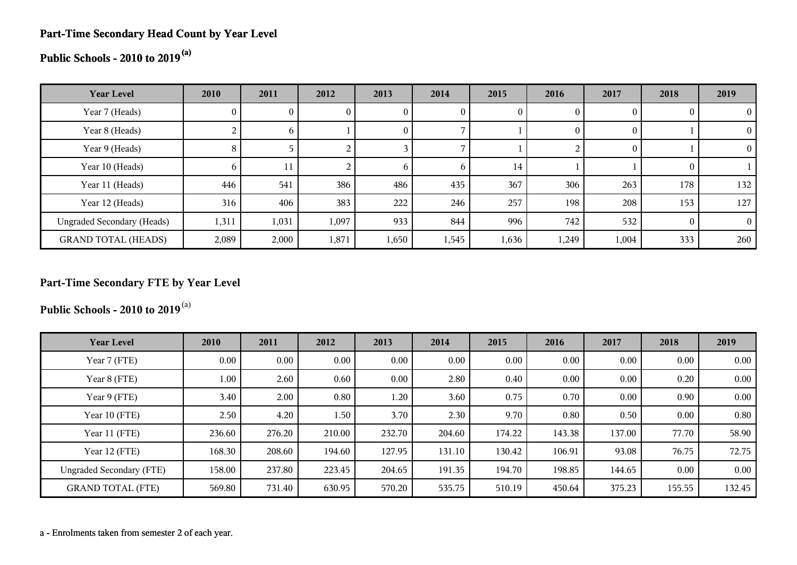#### **Part-Time Secondary Head Count by Year Level**

# **Public Schools - 2010 to 2019(a)**

| <b>Year Level</b>                 | 2010         | 2011     | 2012  | 2013         | 2014         | 2015  | 2016  | 2017  | 2018     | 2019     |
|-----------------------------------|--------------|----------|-------|--------------|--------------|-------|-------|-------|----------|----------|
| Year 7 (Heads)                    | $\mathbf{0}$ |          |       | U            | 0            | U     |       |       | $\theta$ |          |
| Year 8 (Heads)                    | 4            | $\sigma$ |       | 0            |              |       | 0     |       |          |          |
| Year 9 (Heads)                    | 8            |          |       |              |              |       |       | 0     |          |          |
| Year 10 (Heads)                   | <sub>0</sub> | 11       |       | <sub>b</sub> | <sub>0</sub> | 14    |       |       | $\theta$ |          |
| Year 11 (Heads)                   | 446          | 541      | 386   | 486          | 435          | 367   | 306   | 263   | 178      | 132      |
| Year 12 (Heads)                   | 316          | 406      | 383   | 222          | 246          | 257   | 198   | 208   | 153      | 127      |
| <b>Ungraded Secondary (Heads)</b> | 1,311        | 1,031    | 1,097 | 933          | 844          | 996   | 742   | 532   | $\Omega$ | $\Omega$ |
| <b>GRAND TOTAL (HEADS)</b>        | 2,089        | 2,000    | 1,871 | 1,650        | 1,545        | 1,636 | 1,249 | 1,004 | 333      | 260      |

### **Part-Time Secondary FTE by Year Level**

**Public Schools - 2010 to 2019**(a)

| <b>Year Level</b>               | 2010   | 2011     | 2012   | 2013   | 2014   | 2015   | 2016   | 2017   | 2018   | 2019   |
|---------------------------------|--------|----------|--------|--------|--------|--------|--------|--------|--------|--------|
| Year 7 (FTE)                    | 0.00   | $0.00\,$ | 0.00   | 0.00   | 0.00   | 0.00   | 0.00   | 0.00   | 0.00   | 0.00   |
| Year 8 (FTE)                    | 1.00   | 2.60     | 0.60   | 0.00   | 2.80   | 0.40   | 0.00   | 0.00   | 0.20   | 0.00   |
| Year 9 (FTE)                    | 3.40   | 2.00     | 0.80   | 1.20   | 3.60   | 0.75   | 0.70   | 0.00   | 0.90   | 0.00   |
| Year 10 (FTE)                   | 2.50   | 4.20     | 1.50   | 3.70   | 2.30   | 9.70   | 0.80   | 0.50   | 0.00   | 0.80   |
| Year 11 (FTE)                   | 236.60 | 276.20   | 210.00 | 232.70 | 204.60 | 174.22 | 143.38 | 137.00 | 77.70  | 58.90  |
| Year 12 (FTE)                   | 168.30 | 208.60   | 194.60 | 127.95 | 131.10 | 130.42 | 106.91 | 93.08  | 76.75  | 72.75  |
| <b>Ungraded Secondary (FTE)</b> | 158.00 | 237.80   | 223.45 | 204.65 | 191.35 | 194.70 | 198.85 | 144.65 | 0.00   | 0.00   |
| <b>GRAND TOTAL (FTE)</b>        | 569.80 | 731.40   | 630.95 | 570.20 | 535.75 | 510.19 | 450.64 | 375.23 | 155.55 | 132.45 |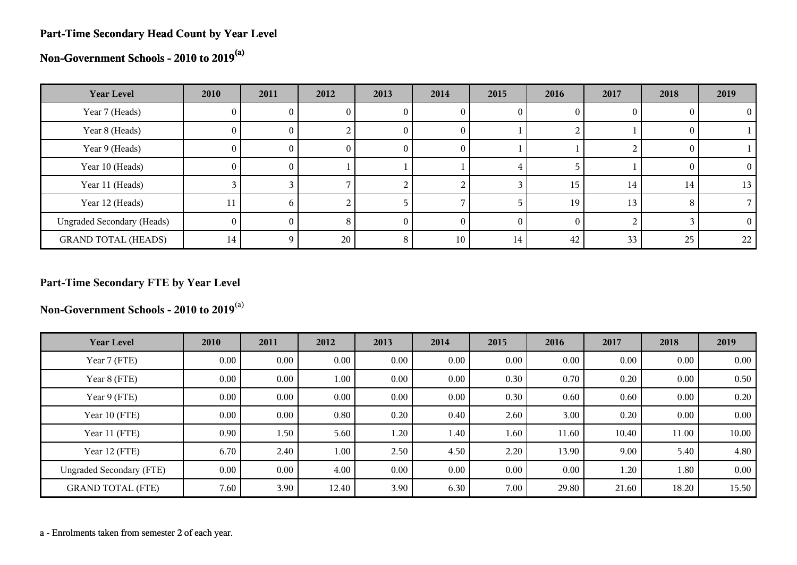#### **Part-Time Secondary Head Count by Year Level**

**Non-Government Schools - 2010 to 2019(a)**

| <b>Year Level</b>                 | 2010         | 2011     | 2012            | 2013 | 2014 | 2015 | 2016     | 2017 | 2018 | 2019            |
|-----------------------------------|--------------|----------|-----------------|------|------|------|----------|------|------|-----------------|
| Year 7 (Heads)                    | U.           |          |                 | U    |      |      |          |      |      |                 |
| Year 8 (Heads)                    | $\mathbf{0}$ | 0.       |                 | U    | U    |      |          |      |      |                 |
| Year 9 (Heads)                    | 0.           | U        | U               | U    | O    |      |          |      |      |                 |
| Year 10 (Heads)                   | $\theta$     | 0.       |                 |      |      | ∸    |          |      |      | $^{(1)}$        |
| Year 11 (Heads)                   |              |          |                 |      |      |      | 15       | 14   | 14   | 13              |
| Year 12 (Heads)                   | 11           | h.       |                 |      |      |      | 19       | 13   |      |                 |
| <b>Ungraded Secondary (Heads)</b> | 0            |          | 8               |      |      |      | $\Omega$ |      |      | 0               |
| <b>GRAND TOTAL (HEADS)</b>        | 14           | <b>Q</b> | 20 <sub>1</sub> | 8    | 10   | 14   | 42       | 33   | 25   | 22 <sub>1</sub> |

### **Part-Time Secondary FTE by Year Level**

**Non-Government Schools - 2010 to 2019**(a)

| <b>Year Level</b>               | 2010 | 2011     | 2012     | 2013 | 2014 | 2015 | 2016  | 2017  | 2018  | 2019  |
|---------------------------------|------|----------|----------|------|------|------|-------|-------|-------|-------|
| Year 7 (FTE)                    | 0.00 | $0.00\,$ | $0.00\,$ | 0.00 | 0.00 | 0.00 | 0.00  | 0.00  | 0.00  | 0.00  |
| Year 8 (FTE)                    | 0.00 | $0.00\,$ | 1.00     | 0.00 | 0.00 | 0.30 | 0.70  | 0.20  | 0.00  | 0.50  |
| Year 9 (FTE)                    | 0.00 | $0.00\,$ | $0.00\,$ | 0.00 | 0.00 | 0.30 | 0.60  | 0.60  | 0.00  | 0.20  |
| Year 10 (FTE)                   | 0.00 | $0.00\,$ | 0.80     | 0.20 | 0.40 | 2.60 | 3.00  | 0.20  | 0.00  | 0.00  |
| Year 11 (FTE)                   | 0.90 | 1.50     | 5.60     | 1.20 | 1.40 | 1.60 | 11.60 | 10.40 | 11.00 | 10.00 |
| Year 12 (FTE)                   | 6.70 | 2.40     | 1.00     | 2.50 | 4.50 | 2.20 | 13.90 | 9.00  | 5.40  | 4.80  |
| <b>Ungraded Secondary (FTE)</b> | 0.00 | $0.00\,$ | 4.00     | 0.00 | 0.00 | 0.00 | 0.00  | 1.20  | 1.80  | 0.00  |
| <b>GRAND TOTAL (FTE)</b>        | 7.60 | 3.90     | 12.40    | 3.90 | 6.30 | 7.00 | 29.80 | 21.60 | 18.20 | 15.50 |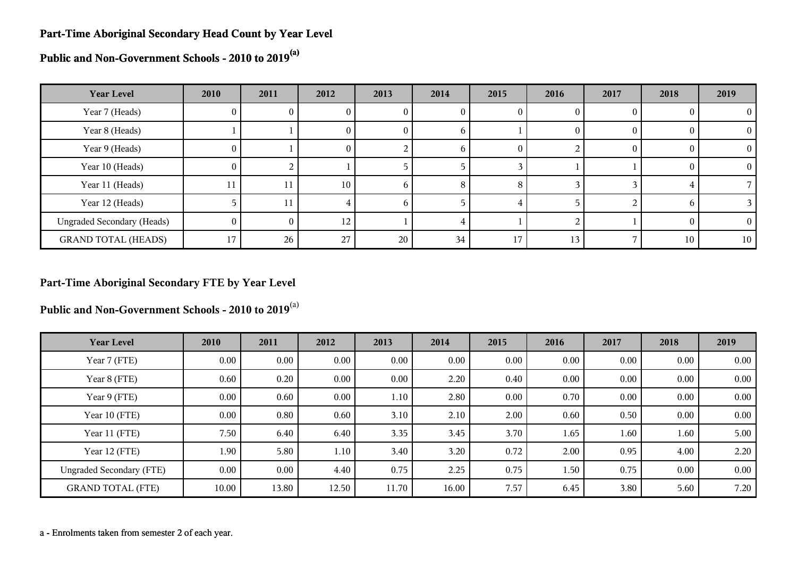#### **Part-Time Aboriginal Secondary Head Count by Year Level**

**Public and Non-Government Schools - 2010 to 2019(a)**

| <b>Year Level</b>                 | 2010     | 2011 | 2012            | 2013 | 2014        | 2015 | 2016 | 2017     | 2018 | 2019           |
|-----------------------------------|----------|------|-----------------|------|-------------|------|------|----------|------|----------------|
| Year 7 (Heads)                    | 0        | U.   | U               | U    | U           | U    |      |          |      | $\overline{0}$ |
| Year 8 (Heads)                    |          |      | 0.              | O.   | $\mathbf b$ |      |      | $\theta$ |      | $\theta$       |
| Year 9 (Heads)                    | $\bf{0}$ |      | $\Omega$        |      | $\mathbf b$ | 0    |      | $\theta$ | 0    | $\theta$       |
| Year 10 (Heads)                   | $\theta$ |      |                 |      |             |      |      |          |      | $\Omega$       |
| Year 11 (Heads)                   | 11       | 11   | 10              | h.   | 8           | 8    |      |          |      |                |
| Year 12 (Heads)                   |          | 11   | 4               | h.   |             |      |      |          |      |                |
| <b>Ungraded Secondary (Heads)</b> | $\theta$ | 0    | 12 <sub>1</sub> |      |             |      |      |          |      | $\overline{0}$ |
| <b>GRAND TOTAL (HEADS)</b>        | 17       | 26   | 27              | 20   | 34          | 17   | 13   |          | 10   | 10             |

#### **Part-Time Aboriginal Secondary FTE by Year Level**

**Public and Non-Government Schools - 2010 to 2019**(a)

| <b>Year Level</b>               | 2010     | 2011  | 2012     | 2013     | 2014  | 2015 | 2016 | 2017 | 2018 | 2019     |
|---------------------------------|----------|-------|----------|----------|-------|------|------|------|------|----------|
| Year 7 (FTE)                    | $0.00\,$ | 0.00  | 0.00     | $0.00\,$ | 0.00  | 0.00 | 0.00 | 0.00 | 0.00 | $0.00\,$ |
| Year 8 (FTE)                    | 0.60     | 0.20  | $0.00\,$ | $0.00\,$ | 2.20  | 0.40 | 0.00 | 0.00 | 0.00 | $0.00\,$ |
| Year 9 (FTE)                    | 0.00     | 0.60  | $0.00\,$ | 1.10     | 2.80  | 0.00 | 0.70 | 0.00 | 0.00 | 0.00     |
| Year 10 (FTE)                   | $0.00\,$ | 0.80  | 0.60     | 3.10     | 2.10  | 2.00 | 0.60 | 0.50 | 0.00 | $0.00\,$ |
| Year 11 (FTE)                   | 7.50     | 6.40  | 6.40     | 3.35     | 3.45  | 3.70 | 1.65 | 1.60 | 1.60 | 5.00     |
| Year 12 (FTE)                   | 1.90     | 5.80  | 1.10     | 3.40     | 3.20  | 0.72 | 2.00 | 0.95 | 4.00 | 2.20     |
| <b>Ungraded Secondary (FTE)</b> | 0.00     | 0.00  | 4.40     | 0.75     | 2.25  | 0.75 | 1.50 | 0.75 | 0.00 | $0.00\,$ |
| <b>GRAND TOTAL (FTE)</b>        | 10.00    | 13.80 | 12.50    | 11.70    | 16.00 | 7.57 | 6.45 | 3.80 | 5.60 | 7.20     |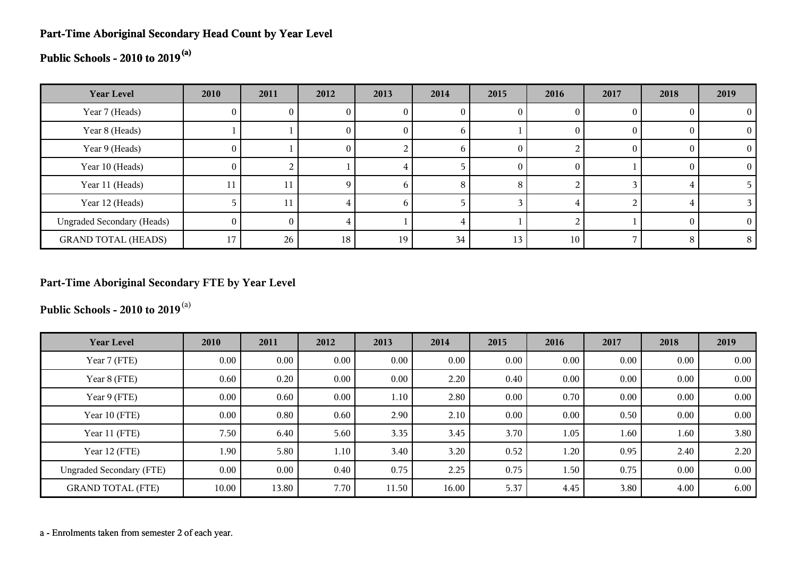#### **Part-Time Aboriginal Secondary Head Count by Year Level**

## **Public Schools - 2010 to 2019(a)**

| <b>Year Level</b>                 | 2010     | 2011            | 2012 | 2013 | 2014 | 2015 | 2016   | 2017 | 2018     | 2019 |
|-----------------------------------|----------|-----------------|------|------|------|------|--------|------|----------|------|
| Year 7 (Heads)                    |          |                 |      |      |      |      |        |      |          |      |
| Year 8 (Heads)                    |          |                 |      |      | O    |      |        |      | $\theta$ |      |
| Year 9 (Heads)                    | U.       |                 | U    |      | n    |      |        |      | $\theta$ |      |
| Year 10 (Heads)                   | $\sigma$ |                 |      |      |      | 0    | $_{0}$ |      | $\theta$ |      |
| Year 11 (Heads)                   | 11       | 11              |      | h    | 8    | 8    |        |      |          |      |
| Year 12 (Heads)                   |          | 11              |      | n    |      |      |        |      |          |      |
| <b>Ungraded Secondary (Heads)</b> | 0        | $^{\circ}$      |      |      |      |      |        |      | $\Omega$ |      |
| <b>GRAND TOTAL (HEADS)</b>        | 17       | 26 <sub>1</sub> | 18   | 19   | 34   | 13   | 10     |      | 8        |      |

#### **Part-Time Aboriginal Secondary FTE by Year Level**

**Public Schools - 2010 to 2019**(a)

| <b>Year Level</b>               | 2010     | 2011     | 2012     | 2013  | 2014  | 2015 | 2016 | 2017 | 2018     | 2019 |
|---------------------------------|----------|----------|----------|-------|-------|------|------|------|----------|------|
| Year 7 (FTE)                    | $0.00\,$ | $0.00\,$ | $0.00\,$ | 0.00  | 0.00  | 0.00 | 0.00 | 0.00 | 0.00     | 0.00 |
| Year 8 (FTE)                    | 0.60     | 0.20     | $0.00\,$ | 0.00  | 2.20  | 0.40 | 0.00 | 0.00 | $0.00\,$ | 0.00 |
| Year 9 (FTE)                    | $0.00\,$ | 0.60     | $0.00\,$ | 1.10  | 2.80  | 0.00 | 0.70 | 0.00 | 0.00     | 0.00 |
| Year 10 (FTE)                   | $0.00\,$ | 0.80     | 0.60     | 2.90  | 2.10  | 0.00 | 0.00 | 0.50 | 0.00     | 0.00 |
| Year 11 (FTE)                   | 7.50     | 6.40     | 5.60     | 3.35  | 3.45  | 3.70 | 1.05 | 1.60 | 1.60     | 3.80 |
| Year 12 (FTE)                   | 1.90     | 5.80     | 1.10     | 3.40  | 3.20  | 0.52 | 1.20 | 0.95 | 2.40     | 2.20 |
| <b>Ungraded Secondary (FTE)</b> | $0.00\,$ | $0.00\,$ | 0.40     | 0.75  | 2.25  | 0.75 | 1.50 | 0.75 | 0.00     | 0.00 |
| <b>GRAND TOTAL (FTE)</b>        | 10.00    | 13.80    | 7.70     | 11.50 | 16.00 | 5.37 | 4.45 | 3.80 | 4.00     | 6.00 |

a - Enrolments taken from semester 2 of each year.